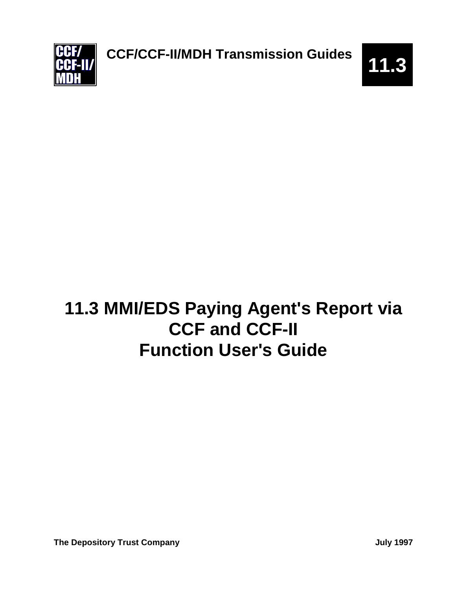

# **11.3 MMI/EDS Paying Agent's Report via CCF and CCF-II Function User's Guide**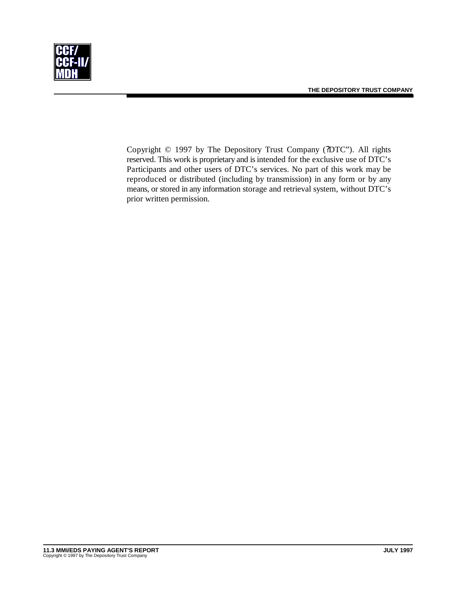



Copyright © 1997 by The Depository Trust Company (?DTC"). All rights reserved. This work is proprietary and is intended for the exclusive use of DTC's Participants and other users of DTC's services. No part of this work may be reproduced or distributed (including by transmission) in any form or by any means, or stored in any information storage and retrieval system, without DTC's prior written permission.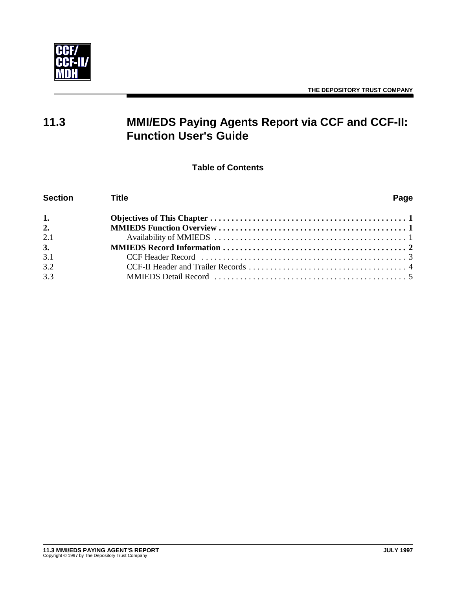

# **11.3 MMI/EDS Paying Agents Report via CCF and CCF-II: Function User's Guide**

**Table of Contents**

| <b>Section</b> | <b>Title</b> |  |  |  |  |  |
|----------------|--------------|--|--|--|--|--|
| 1.             |              |  |  |  |  |  |
| 2.             |              |  |  |  |  |  |
| 2.1            |              |  |  |  |  |  |
| 3.             |              |  |  |  |  |  |
| 3.1            |              |  |  |  |  |  |
| 3.2            |              |  |  |  |  |  |
| 3.3            |              |  |  |  |  |  |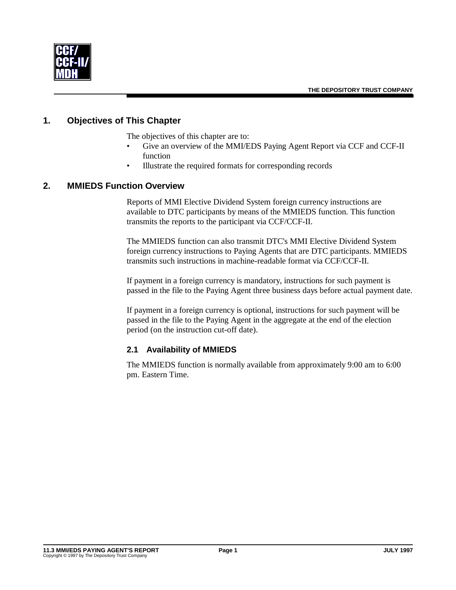

## **1. Objectives of This Chapter**

The objectives of this chapter are to:

- Give an overview of the MMI/EDS Paying Agent Report via CCF and CCF-II function
- Illustrate the required formats for corresponding records

#### **2. MMIEDS Function Overview**

Reports of MMI Elective Dividend System foreign currency instructions are available to DTC participants by means of the MMIEDS function. This function transmits the reports to the participant via CCF/CCF-II.

The MMIEDS function can also transmit DTC's MMI Elective Dividend System foreign currency instructions to Paying Agents that are DTC participants. MMIEDS transmits such instructions in machine-readable format via CCF/CCF-II.

If payment in a foreign currency is mandatory, instructions for such payment is passed in the file to the Paying Agent three business days before actual payment date.

If payment in a foreign currency is optional, instructions for such payment will be passed in the file to the Paying Agent in the aggregate at the end of the election period (on the instruction cut-off date).

#### **2.1 Availability of MMIEDS**

The MMIEDS function is normally available from approximately 9:00 am to 6:00 pm. Eastern Time.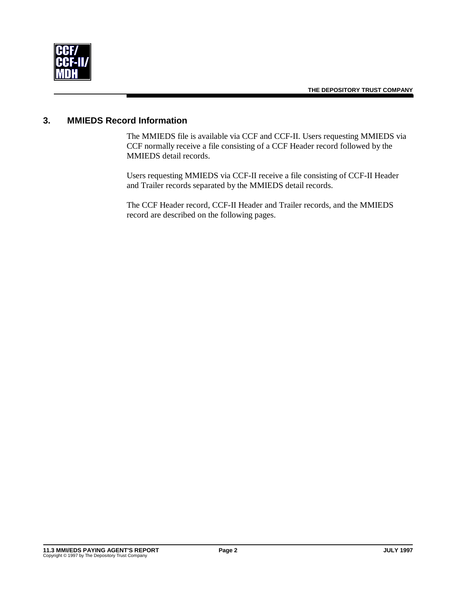

# **3. MMIEDS Record Information**

The MMIEDS file is available via CCF and CCF-II. Users requesting MMIEDS via CCF normally receive a file consisting of a CCF Header record followed by the MMIEDS detail records.

Users requesting MMIEDS via CCF-II receive a file consisting of CCF-II Header and Trailer records separated by the MMIEDS detail records.

The CCF Header record, CCF-II Header and Trailer records, and the MMIEDS record are described on the following pages.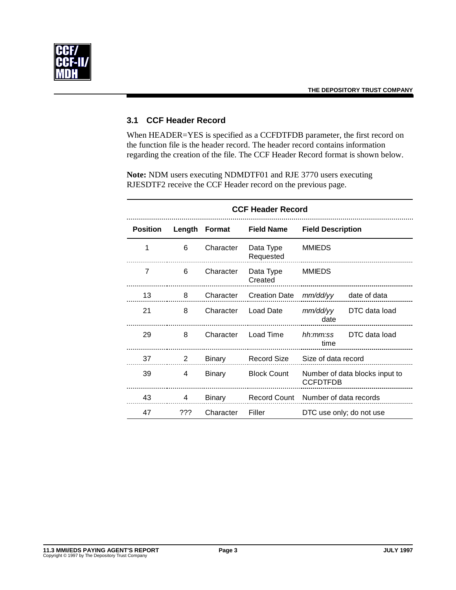

#### **3.1 CCF Header Record**

When HEADER=YES is specified as a CCFDTFDB parameter, the first record on the function file is the header record. The header record contains information regarding the creation of the file. The CCF Header Record format is shown below.

**Note:** NDM users executing NDMDTF01 and RJE 3770 users executing RJESDTF2 receive the CCF Header record on the previous page.

| <b>CCF Header Record</b> |        |               |                        |                          |                                |
|--------------------------|--------|---------------|------------------------|--------------------------|--------------------------------|
| <b>Position</b>          | Length | Format        | <b>Field Name</b>      | <b>Field Description</b> |                                |
| 1                        | 6      | Character     | Data Type<br>Requested | <b>MMIEDS</b>            |                                |
| 7                        | 6      | Character     | Data Type<br>Created   | <b>MMIEDS</b>            |                                |
| 13                       | 8      | Character     | <b>Creation Date</b>   | mm/dd/yy                 | date of data                   |
| 21                       | 8      | Character     | Load Date              | mm/dd/yy<br>date         | DTC data load                  |
| 29                       | 8      | Character     | Load Time              | hh:mm:ss<br>time         | DTC data load                  |
| 37                       | 2      | Binary        | Record Size            | Size of data record      |                                |
| 39                       | 4      | <b>Binary</b> | <b>Block Count</b>     | <b>CCFDTFDB</b>          | Number of data blocks input to |
| 43                       | 4      | Binary        | Record Count           | Number of data records   |                                |
| 47                       | ???    | Character     | Filler                 |                          | DTC use only; do not use       |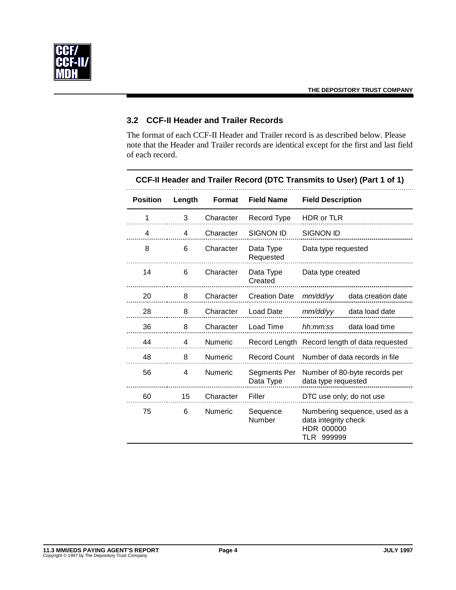

# **3.2 CCF-II Header and Trailer Records**

The format of each CCF-II Header and Trailer record is as described below. Please note that the Header and Trailer records are identical except for the first and last field of each record.

| <b>Position</b> | Length         | <b>Format</b>  | <b>Field Name</b>         | <b>Field Description</b>                                                          |  |
|-----------------|----------------|----------------|---------------------------|-----------------------------------------------------------------------------------|--|
| 1               | 3              | Character      | Record Type               | HDR or TLR                                                                        |  |
| 4               | 4              | Character      | <b>SIGNON ID</b>          | <b>SIGNON ID</b>                                                                  |  |
| 8               | 6              | Character      | Data Type<br>Requested    | Data type requested                                                               |  |
| 14              | 6              | Character      | Data Type<br>Created      | Data type created                                                                 |  |
| 20              | 8              | Character      | <b>Creation Date</b>      | mm/dd/yy<br>data creation date                                                    |  |
| 28              | 8              | Character      | <b>Load Date</b>          | data load date<br>mm/dd/yy                                                        |  |
| 36              | 8              | Character      | Load Time                 | data load time<br>hh:mm:ss                                                        |  |
| 44              | 4              | Numeric        |                           | Record Length Record length of data requested                                     |  |
| 48              | 8              | Numeric        | <b>Record Count</b>       | Number of data records in file                                                    |  |
| 56              | $\overline{4}$ | <b>Numeric</b> | Segments Per<br>Data Type | Number of 80-byte records per<br>data type requested                              |  |
| 60              | 15             | Character      | Filler                    | DTC use only; do not use                                                          |  |
| 75              | 6              | Numeric        | Sequence<br>Number        | Numbering sequence, used as a<br>data integrity check<br>HDR 000000<br>TLR 999999 |  |

### **CCF-II Header and Trailer Record (DTC Transmits to User) (Part 1 of 1)**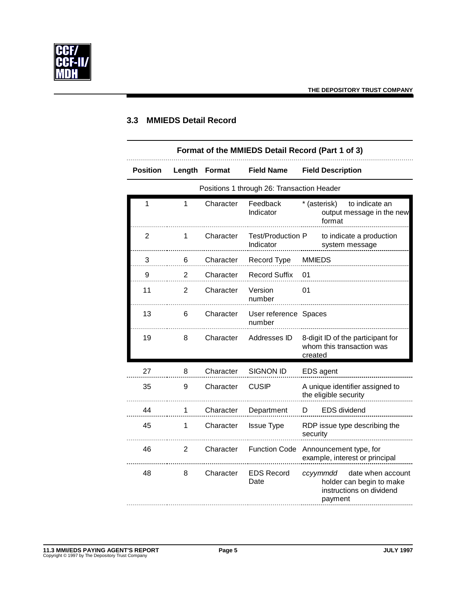

# **3.3 MMIEDS Detail Record**

| Format of the MMIEDS Detail Record (Part 1 of 3) |                                            |               |                                 |                                                                                                  |  |  |  |
|--------------------------------------------------|--------------------------------------------|---------------|---------------------------------|--------------------------------------------------------------------------------------------------|--|--|--|
| <b>Position</b>                                  | Length                                     | <b>Format</b> | <b>Field Name</b>               | <b>Field Description</b>                                                                         |  |  |  |
|                                                  | Positions 1 through 26: Transaction Header |               |                                 |                                                                                                  |  |  |  |
| 1                                                | 1                                          | Character     | Feedback<br>Indicator           | to indicate an<br>* (asterisk)<br>output message in the new<br>format                            |  |  |  |
| $\overline{2}$                                   | 1                                          | Character     | Test/Production P<br>Indicator  | to indicate a production<br>system message                                                       |  |  |  |
| 3                                                | 6                                          | Character     | Record Type                     | <b>MMIEDS</b>                                                                                    |  |  |  |
| 9                                                | $\overline{2}$                             | Character     | <b>Record Suffix</b>            | 01                                                                                               |  |  |  |
| 11                                               | $\overline{2}$                             | Character     | Version<br>number               | 01                                                                                               |  |  |  |
| 13                                               | 6                                          | Character     | User reference Spaces<br>number |                                                                                                  |  |  |  |
| 19                                               | 8                                          | Character     | Addresses ID                    | 8-digit ID of the participant for<br>whom this transaction was<br>created                        |  |  |  |
| 27                                               | 8                                          | Character     | <b>SIGNON ID</b>                | EDS agent                                                                                        |  |  |  |
| 35                                               | 9                                          | Character     | <b>CUSIP</b>                    | A unique identifier assigned to<br>the eligible security                                         |  |  |  |
| 44                                               | 1                                          | Character     | Department                      | <b>EDS</b> dividend<br>D                                                                         |  |  |  |
| 45                                               | 1                                          | Character     | <b>Issue Type</b>               | RDP issue type describing the<br>security                                                        |  |  |  |
| 46                                               | $\overline{2}$                             | Character     | <b>Function Code</b>            | Announcement type, for<br>example, interest or principal                                         |  |  |  |
| 48                                               | 8                                          | Character     | <b>EDS Record</b><br>Date       | date when account<br>ccyymmdd<br>holder can begin to make<br>instructions on dividend<br>payment |  |  |  |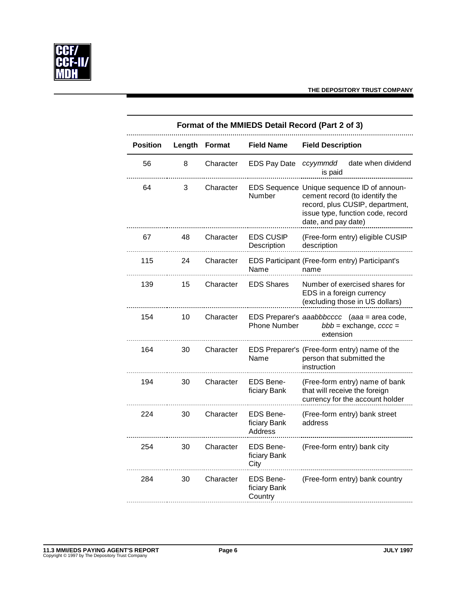

| Format of the MMIEDS Detail Record (Part 2 of 3) |        |               |                                             |                                                                                                                                                                             |  |
|--------------------------------------------------|--------|---------------|---------------------------------------------|-----------------------------------------------------------------------------------------------------------------------------------------------------------------------------|--|
| <b>Position</b>                                  | Length | <b>Format</b> | <b>Field Name</b>                           | <b>Field Description</b>                                                                                                                                                    |  |
| 56                                               | 8      | Character     | <b>EDS Pay Date</b>                         | date when dividend<br>ccyymmdd<br>is paid                                                                                                                                   |  |
| 64                                               | 3      | Character     | Number                                      | EDS Sequence Unique sequence ID of announ-<br>cement record (to identify the<br>record, plus CUSIP, department,<br>issue type, function code, record<br>date, and pay date) |  |
| 67                                               | 48     | Character     | <b>EDS CUSIP</b><br>Description             | (Free-form entry) eligible CUSIP<br>description                                                                                                                             |  |
| 115                                              | 24     | Character     | Name                                        | EDS Participant (Free-form entry) Participant's<br>name                                                                                                                     |  |
| 139                                              | 15     | Character     | <b>EDS Shares</b>                           | Number of exercised shares for<br>EDS in a foreign currency<br>(excluding those in US dollars)                                                                              |  |
| 154                                              | 10     | Character     | <b>Phone Number</b>                         | EDS Preparer's aaabbbcccc (aaa = area code,<br>$bbb = exchange, cccc =$<br>extension                                                                                        |  |
| 164                                              | 30     | Character     | Name                                        | EDS Preparer's (Free-form entry) name of the<br>person that submitted the<br>instruction                                                                                    |  |
| 194                                              | 30     | Character     | <b>EDS Bene-</b><br>ficiary Bank            | (Free-form entry) name of bank<br>that will receive the foreign<br>currency for the account holder                                                                          |  |
| 224                                              | 30     | Character     | <b>EDS Bene-</b><br>ficiary Bank<br>Address | (Free-form entry) bank street<br>address                                                                                                                                    |  |
| 254                                              | 30     | Character     | <b>EDS Bene-</b><br>ficiary Bank<br>City    | (Free-form entry) bank city                                                                                                                                                 |  |
| 284                                              | 30     | Character     | <b>EDS Bene-</b><br>ficiary Bank<br>Country | (Free-form entry) bank country                                                                                                                                              |  |